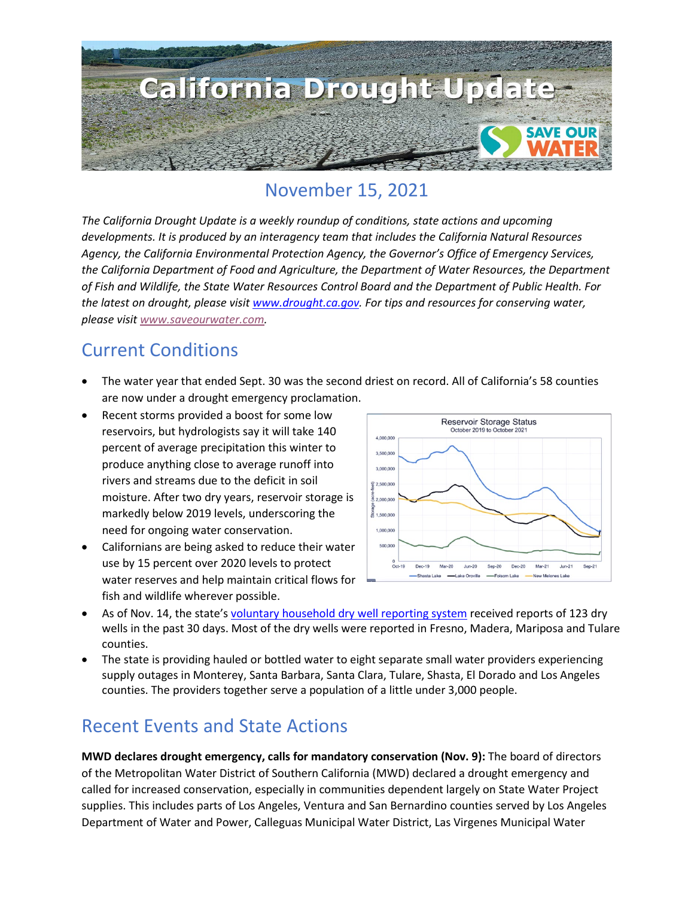

### November 15, 2021

*The California Drought Update is a weekly roundup of conditions, state actions and upcoming developments. It is produced by an interagency team that includes the California Natural Resources Agency, the California Environmental Protection Agency, the Governor's Office of Emergency Services, the California Department of Food and Agriculture, the Department of Water Resources, the Department of Fish and Wildlife, the State Water Resources Control Board and the Department of Public Health. For the latest on drought, please visit [www.drought.ca.gov.](http://www.drought.ca.gov/) For tips and resources for conserving water, please visit [www.saveourwater.com.](http://www.saveourwater.com/)*

#### Current Conditions

- The water year that ended Sept. 30 was the second driest on record. All of California's 58 counties are now under a drought emergency proclamation.
- Recent storms provided a boost for some low reservoirs, but hydrologists say it will take 140 percent of average precipitation this winter to produce anything close to average runoff into rivers and streams due to the deficit in soil moisture. After two dry years, reservoir storage is markedly below 2019 levels, underscoring the need for ongoing water conservation.
- Californians are being asked to reduce their water use by 15 percent over 2020 levels to protect water reserves and help maintain critical flows for fish and wildlife wherever possible.



- As of Nov. 14, the state'[s voluntary household dry well reporting system](https://mydrywell.water.ca.gov/report/) received reports of 123 dry wells in the past 30 days. Most of the dry wells were reported in Fresno, Madera, Mariposa and Tulare counties.
- The state is providing hauled or bottled water to eight separate small water providers experiencing supply outages in Monterey, Santa Barbara, Santa Clara, Tulare, Shasta, El Dorado and Los Angeles counties. The providers together serve a population of a little under 3,000 people.

### Recent Events and State Actions

**MWD declares drought emergency, calls for mandatory conservation (Nov. 9):** The board of directors of the Metropolitan Water District of Southern California (MWD) declared a drought emergency and called for increased conservation, especially in communities dependent largely on State Water Project supplies. This includes parts of Los Angeles, Ventura and San Bernardino counties served by Los Angeles Department of Water and Power, Calleguas Municipal Water District, Las Virgenes Municipal Water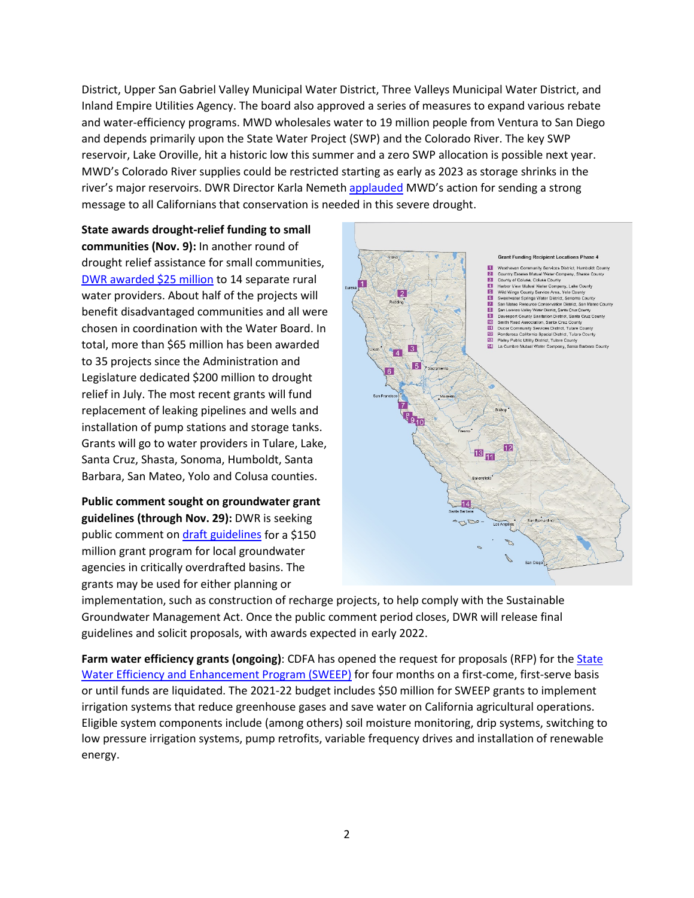District, Upper San Gabriel Valley Municipal Water District, Three Valleys Municipal Water District, and Inland Empire Utilities Agency. The board also approved a series of measures to expand various rebate and water-efficiency programs. MWD wholesales water to 19 million people from Ventura to San Diego and depends primarily upon the State Water Project (SWP) and the Colorado River. The key SWP reservoir, Lake Oroville, hit a historic low this summer and a zero SWP allocation is possible next year. MWD's Colorado River supplies could be restricted starting as early as 2023 as storage shrinks in the river's major reservoirs. DWR Director Karla Nemet[h applauded](https://water.ca.gov/News/News-Releases/2021/Nov-21/Director-Response-About-MWD) MWD's action for sending a strong message to all Californians that conservation is needed in this severe drought.

**State awards drought-relief funding to small communities (Nov. 9):** In another round of drought relief assistance for small communities, [DWR awarded \\$25 million](https://water.ca.gov/News/News-Releases/2021/Nov-21/DWR-Awards-Another-25-Million-in-Drought-Relief-for-Small-Communities) to 14 separate rural water providers. About half of the projects will benefit disadvantaged communities and all were chosen in coordination with the Water Board. In total, more than \$65 million has been awarded to 35 projects since the Administration and Legislature dedicated \$200 million to drought relief in July. The most recent grants will fund replacement of leaking pipelines and wells and installation of pump stations and storage tanks. Grants will go to water providers in Tulare, Lake, Santa Cruz, Shasta, Sonoma, Humboldt, Santa Barbara, San Mateo, Yolo and Colusa counties.

**Public comment sought on groundwater grant guidelines (through Nov. 29):** DWR is seeking public comment on [draft guidelines](https://water.ca.gov/News/Public-Notices/2021/October-2021/Public-Comment-Period-SGM-Grants) for a \$150 million grant program for local groundwater agencies in critically overdrafted basins. The grants may be used for either planning or



implementation, such as construction of recharge projects, to help comply with the Sustainable Groundwater Management Act. Once the public comment period closes, DWR will release final guidelines and solicit proposals, with awards expected in early 2022.

Farm water efficiency grants (ongoing): CDFA has opened the request for proposals (RFP) for the **State** [Water Efficiency and Enhancement Program \(SWEEP\)](https://www.cdfa.ca.gov/oefi/sweep/) for four months on a first-come, first-serve basis or until funds are liquidated. The 2021-22 budget includes \$50 million for SWEEP grants to implement irrigation systems that reduce greenhouse gases and save water on California agricultural operations. Eligible system components include (among others) soil moisture monitoring, drip systems, switching to low pressure irrigation systems, pump retrofits, variable frequency drives and installation of renewable energy.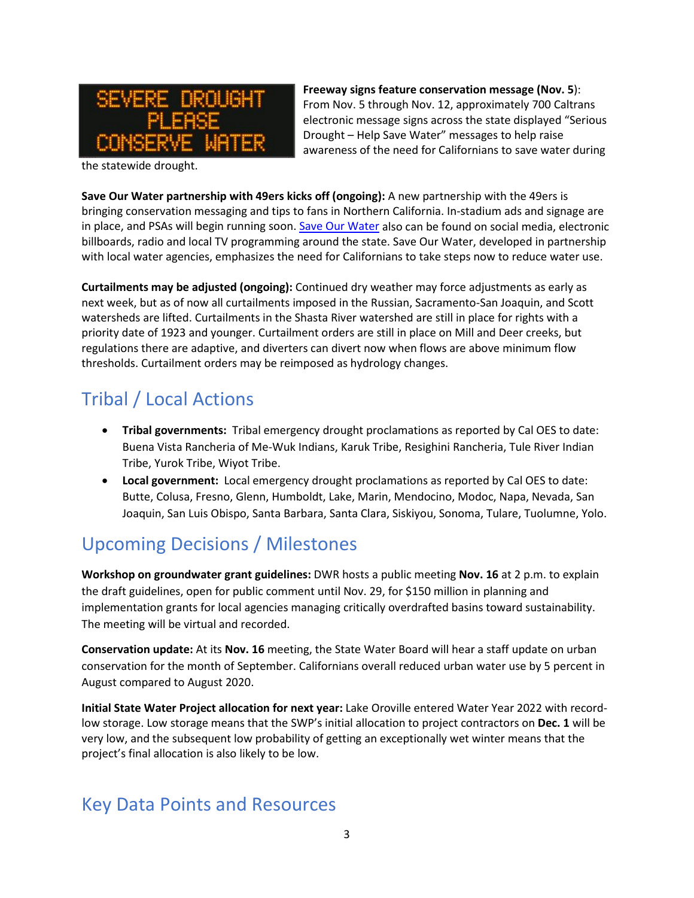

**Freeway signs feature conservation message (Nov. 5**): From Nov. 5 through Nov. 12, approximately 700 Caltrans electronic message signs across the state displayed "Serious Drought – Help Save Water" messages to help raise awareness of the need for Californians to save water during

the statewide drought.

**Save Our Water partnership with 49ers kicks off (ongoing):** A new partnership with the 49ers is bringing conservation messaging and tips to fans in Northern California. In-stadium ads and signage are in place, and PSAs will begin running soon. [Save Our Water](https://saveourwater.com/) also can be found on social media, electronic billboards, radio and local TV programming around the state. Save Our Water, developed in partnership with local water agencies, emphasizes the need for Californians to take steps now to reduce water use.

**Curtailments may be adjusted (ongoing):** Continued dry weather may force adjustments as early as next week, but as of now all curtailments imposed in the Russian, Sacramento-San Joaquin, and Scott watersheds are lifted. Curtailments in the Shasta River watershed are still in place for rights with a priority date of 1923 and younger. Curtailment orders are still in place on Mill and Deer creeks, but regulations there are adaptive, and diverters can divert now when flows are above minimum flow thresholds. Curtailment orders may be reimposed as hydrology changes.

## Tribal / Local Actions

- **Tribal governments:** Tribal emergency drought proclamations as reported by Cal OES to date: Buena Vista Rancheria of Me-Wuk Indians, Karuk Tribe, Resighini Rancheria, Tule River Indian Tribe, Yurok Tribe, Wiyot Tribe.
- **Local government:** Local emergency drought proclamations as reported by Cal OES to date: Butte, Colusa, Fresno, Glenn, Humboldt, Lake, Marin, Mendocino, Modoc, Napa, Nevada, San Joaquin, San Luis Obispo, Santa Barbara, Santa Clara, Siskiyou, Sonoma, Tulare, Tuolumne, Yolo.

# Upcoming Decisions / Milestones

**Workshop on groundwater grant guidelines:** DWR hosts a public meeting **Nov. 16** at 2 p.m. to explain the draft guidelines, open for public comment until Nov. 29, for \$150 million in planning and implementation grants for local agencies managing critically overdrafted basins toward sustainability. The meeting will be virtual and recorded.

**Conservation update:** At its **Nov. 16** meeting, the State Water Board will hear a staff update on urban conservation for the month of September. Californians overall reduced urban water use by 5 percent in August compared to August 2020.

**Initial State Water Project allocation for next year:** Lake Oroville entered Water Year 2022 with recordlow storage. Low storage means that the SWP's initial allocation to project contractors on **Dec. 1** will be very low, and the subsequent low probability of getting an exceptionally wet winter means that the project's final allocation is also likely to be low.

### Key Data Points and Resources